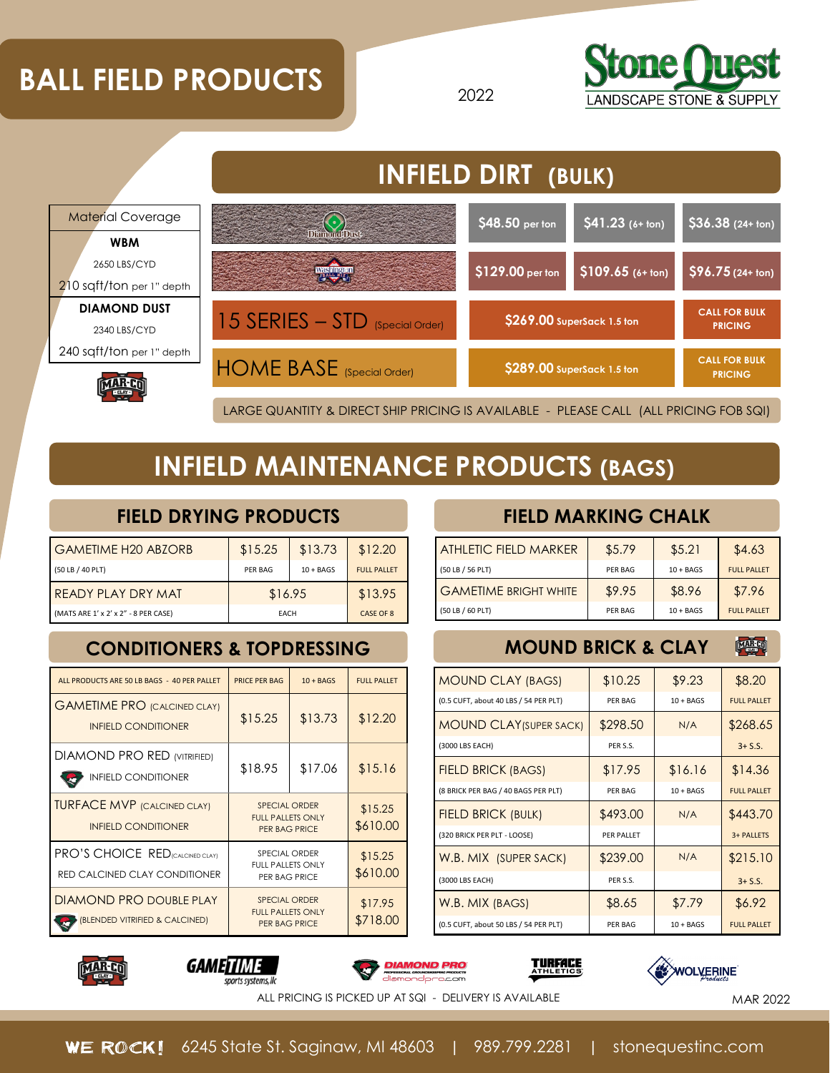# **BALL FIELD PRODUCTS BALL FIELD PRODUCTS**





## **INFIELD MAINTENANCE PRODUCTS (BAGS)**

#### **FIELD DRYING PRODUCTS**

| <b>GAMETIME H20 ABZORB</b>           | \$15.25 | \$13.73     | \$12.20            |
|--------------------------------------|---------|-------------|--------------------|
| (50 LB / 40 PLT)                     | PFR BAG | $10 + BAGS$ | <b>FULL PALLFT</b> |
| I READY PLAY DRY MAT                 | \$16.95 |             | \$13.95            |
| (MATS ARE 1' x 2' x 2" - 8 PER CASE) | EACH    |             | CASE OF 8          |

### **CONDITIONERS & TOPDRESSING MOUND BRICK & CLAY**

| ALL PRODUCTS ARE 50 LB BAGS - 40 PER PALLET                                     | <b>PRICE PER BAG</b>                                                     | $10 + BAGS$ | <b>FULL PALLET</b>  |
|---------------------------------------------------------------------------------|--------------------------------------------------------------------------|-------------|---------------------|
| <b>GAMETIME PRO (CALCINED CLAY)</b><br><b>INFIELD CONDITIONER</b>               | \$15.25                                                                  | \$13.73     | \$12.20             |
| <b>DIAMOND PRO RED (VITRIFIED)</b><br><b>INFIELD CONDITIONER</b>                | \$18.95                                                                  | \$17.06     | \$15.16             |
| <b>TURFACE MVP (CALCINED CLAY)</b><br><b>INFIELD CONDITIONER</b>                | <b>SPECIAL ORDER</b><br><b>FULL PALLETS ONLY</b><br><b>PER BAG PRICE</b> |             | \$15.25<br>\$610.00 |
| <b>PRO'S CHOICE RED</b> ICALCINED CLAYI<br><b>RED CALCINED CLAY CONDITIONER</b> | SPECIAL ORDER<br><b>FULL PALLETS ONLY</b><br>PER BAG PRICE               |             | \$15.25<br>\$610.00 |
| <b>DIAMOND PRO DOUBLE PLAY</b><br>(BLENDED VITRIFIED & CALCINED)                | <b>SPECIAL ORDER</b><br><b>FULL PALLETS ONLY</b><br><b>PER BAG PRICE</b> |             | \$17.95<br>\$718.00 |

#### **FIELD MARKING CHALK**

| <b>ATHLETIC FIELD MARKER</b> | \$5.79         | \$5.21      | \$4.63             |
|------------------------------|----------------|-------------|--------------------|
| (50 LB / 56 PLT)             | PFR BAG        | $10 + BAGS$ | <b>FULL PALLFT</b> |
| <b>GAMETIME BRIGHT WHITE</b> | \$9.95         | \$8.96      | \$7.96             |
| (50 LB / 60 PLT)             | <b>PER BAG</b> | $10 + BAGS$ | <b>FULL PALLFT</b> |

### **MAR CO**

| <b>MOUND CLAY (BAGS)</b>              | \$10.25        | \$9.23      | \$8.20             |
|---------------------------------------|----------------|-------------|--------------------|
| (0.5 CUFT, about 40 LBS / 54 PER PLT) | PER BAG        | $10 + BAGS$ | <b>FULL PALLET</b> |
| <b>MOUND CLAY (SUPER SACK)</b>        | \$298.50       | N/A         | \$268.65           |
| (3000 LBS EACH)                       | PFR S.S.       |             | $3 + S.S.$         |
| <b>FIELD BRICK (BAGS)</b>             | \$17.95        | \$16.16     | \$14.36            |
| (8 BRICK PER BAG / 40 BAGS PER PLT)   | <b>PFR BAG</b> | $10 + BAGS$ | <b>FULL PALLFT</b> |
| <b>FIELD BRICK (BULK)</b>             | \$493.00       | N/A         | \$443.70           |
| (320 BRICK PER PLT - LOOSE)           | PFR PALLFT     |             | 3+ PALLETS         |
| W.B. MIX (SUPER SACK)                 | \$239.00       | N/A         | \$215.10           |
| (3000 LBS EACH)                       | PFR S.S.       |             | $3 + S.S.$         |
| W.B. MIX (BAGS)                       | \$8.65         | \$7.79      | \$6.92             |
| (0.5 CUFT, about 50 LBS / 54 PER PLT) | PFR BAG        | $10 + BAGS$ | <b>FULL PALLFT</b> |











ALL PRICING IS PICKED UP AT SQI - DELIVERY IS AVAILABLE **And a strategy of the Strategy Art Available** MAR 2022